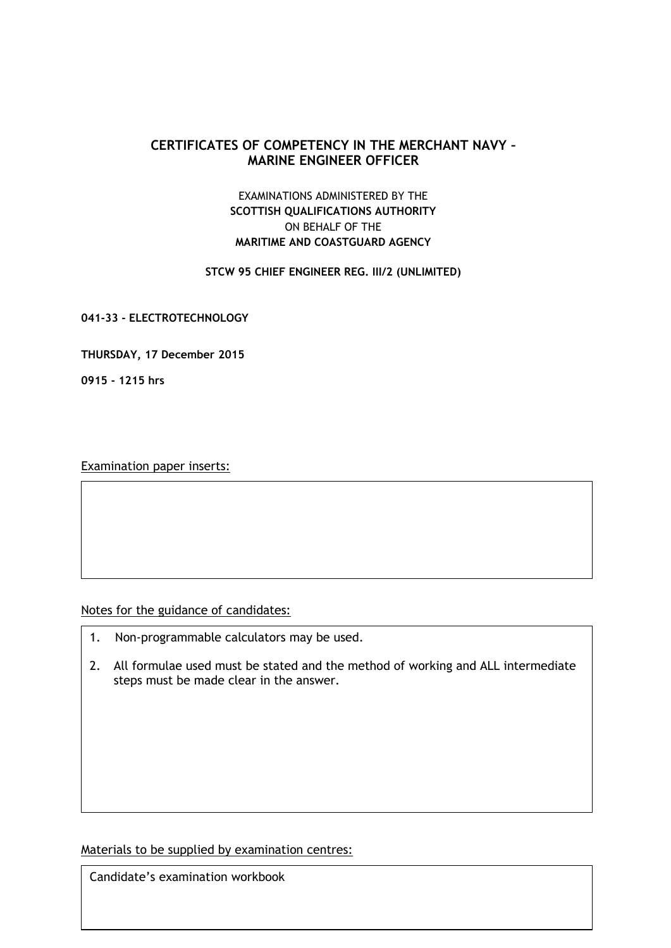## **CERTIFICATES OF COMPETENCY IN THE MERCHANT NAVY – MARINE ENGINEER OFFICER**

## EXAMINATIONS ADMINISTERED BY THE **SCOTTISH QUALIFICATIONS AUTHORITY** ON BEHALF OF THE **MARITIME AND COASTGUARD AGENCY**

## **STCW 95 CHIEF ENGINEER REG. III/2 (UNLIMITED)**

**041-33 - ELECTROTECHNOLOGY**

**THURSDAY, 17 December 2015**

**0915 - 1215 hrs**

Examination paper inserts:

Notes for the guidance of candidates:

- 1. Non-programmable calculators may be used.
- 2. All formulae used must be stated and the method of working and ALL intermediate steps must be made clear in the answer.

Materials to be supplied by examination centres:

Candidate's examination workbook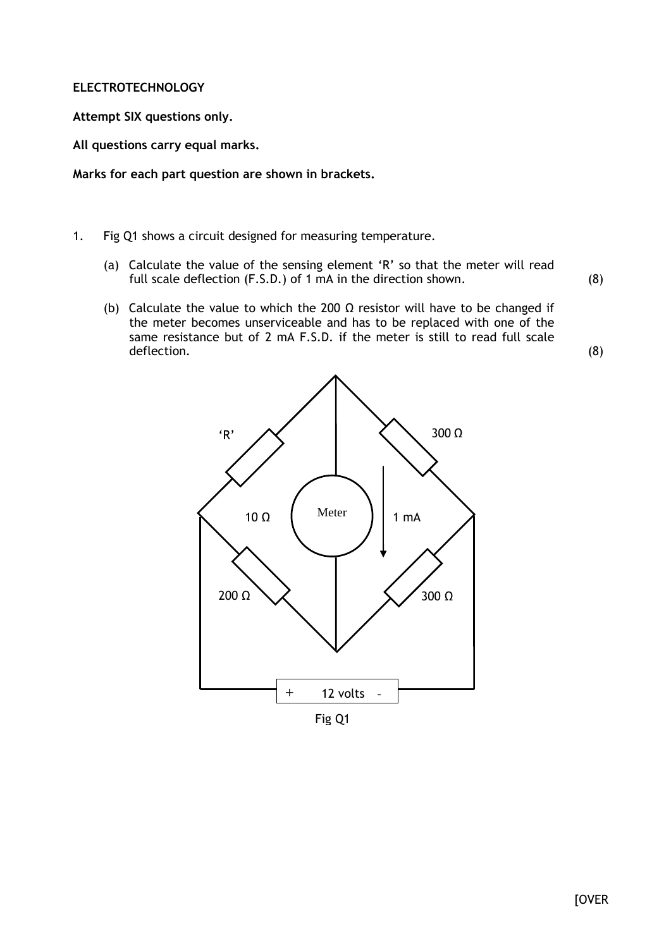## **ELECTROTECHNOLOGY**

**Attempt SIX questions only.**

**All questions carry equal marks.**

**Marks for each part question are shown in brackets.**

- 1. Fig Q1 shows a circuit designed for measuring temperature.
	- (a) Calculate the value of the sensing element 'R' so that the meter will read full scale deflection (F.S.D.) of 1 mA in the direction shown.
	- (b) Calculate the value to which the 200  $\Omega$  resistor will have to be changed if the meter becomes unserviceable and has to be replaced with one of the same resistance but of 2 mA F.S.D. if the meter is still to read full scale deflection.



Fig Q1

(8)

(8)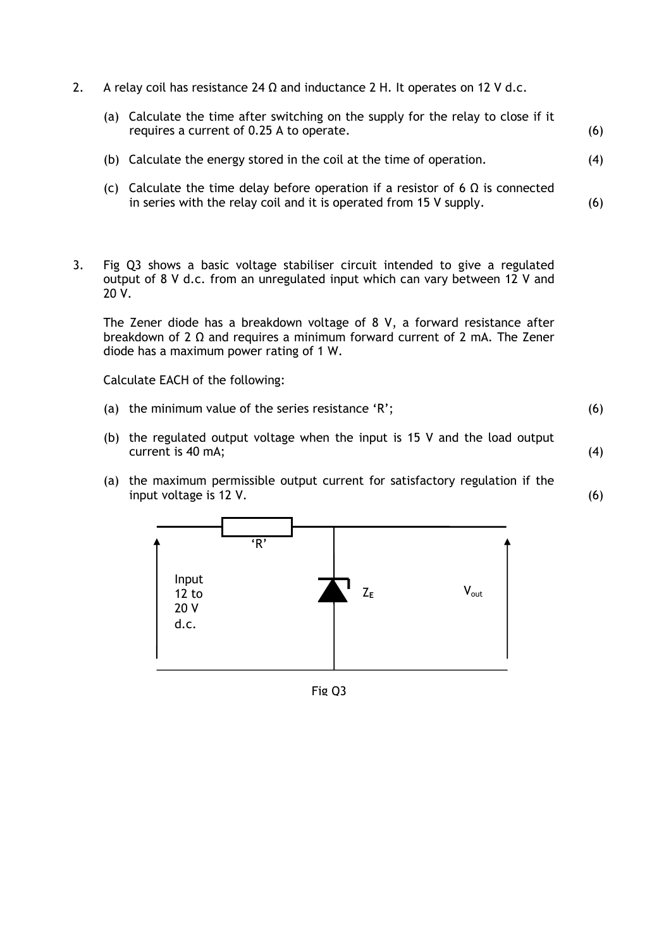- 2. A relay coil has resistance 24 Ω and inductance 2 H. It operates on 12 V d.c.
	- (a) Calculate the time after switching on the supply for the relay to close if it requires a current of 0.25 A to operate. (6)
	- (b) Calculate the energy stored in the coil at the time of operation. (4)

(6)

(4)

(6)

- (c) Calculate the time delay before operation if a resistor of 6  $\Omega$  is connected in series with the relay coil and it is operated from 15 V supply.
- 3. Fig Q3 shows a basic voltage stabiliser circuit intended to give a regulated output of 8 V d.c. from an unregulated input which can vary between 12 V and 20 V.

The Zener diode has a breakdown voltage of 8 V, a forward resistance after breakdown of 2 Ω and requires a minimum forward current of 2 mA. The Zener diode has a maximum power rating of 1 W.

Calculate EACH of the following:

- (a) the minimum value of the series resistance 'R'; (6)
- (b) the regulated output voltage when the input is 15 V and the load output current is 40 mA;
- (a) the maximum permissible output current for satisfactory regulation if the input voltage is 12 V.

Input 12 to 20 V d.c. 'R' Z**<sup>E</sup>** Vout

Fig Q3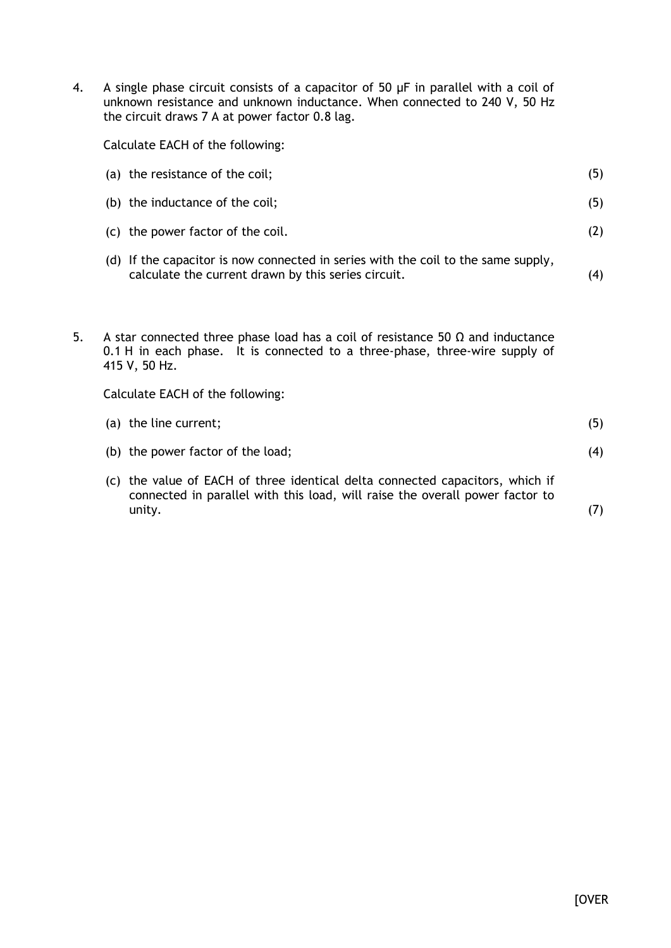4. A single phase circuit consists of a capacitor of 50 µF in parallel with a coil of unknown resistance and unknown inductance. When connected to 240 V, 50 Hz the circuit draws 7 A at power factor 0.8 lag.

Calculate EACH of the following:

|    | (a) the resistance of the coil;                                                                                                                                                                                           | (5) |  |  |  |
|----|---------------------------------------------------------------------------------------------------------------------------------------------------------------------------------------------------------------------------|-----|--|--|--|
|    | (b) the inductance of the coil;                                                                                                                                                                                           | (5) |  |  |  |
|    | (c) the power factor of the coil.                                                                                                                                                                                         | (2) |  |  |  |
|    | (d) If the capacitor is now connected in series with the coil to the same supply,<br>calculate the current drawn by this series circuit.                                                                                  | (4) |  |  |  |
| 5. | A star connected three phase load has a coil of resistance 50 $\Omega$ and inductance<br>0.1 H in each phase. It is connected to a three-phase, three-wire supply of<br>415 V, 50 Hz.<br>Calculate EACH of the following: |     |  |  |  |
|    | (a) the line current;                                                                                                                                                                                                     | (5) |  |  |  |
|    |                                                                                                                                                                                                                           |     |  |  |  |
|    | (b) the power factor of the load;                                                                                                                                                                                         | (4) |  |  |  |
|    | (c) the value of EACH of three identical delta connected capacitors, which if<br>connected in parallel with this load, will raise the overall power factor to<br>unity.                                                   | (7) |  |  |  |